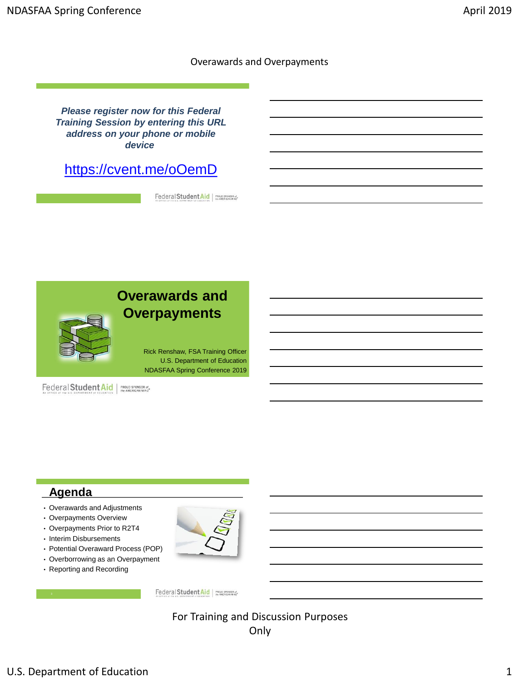*Please register now for this Federal Training Session by entering this URL address on your phone or mobile device*

<https://cvent.me/oOemD>

Federal Student Aid



# **Agenda**

- Overawards and Adjustments
- Overpayments Overview
- Overpayments Prior to R2T4
- Interim Disbursements
- Potential Overaward Process (POP)
- Overborrowing as an Overpayment
- Reporting and Recording



Federal Student Aid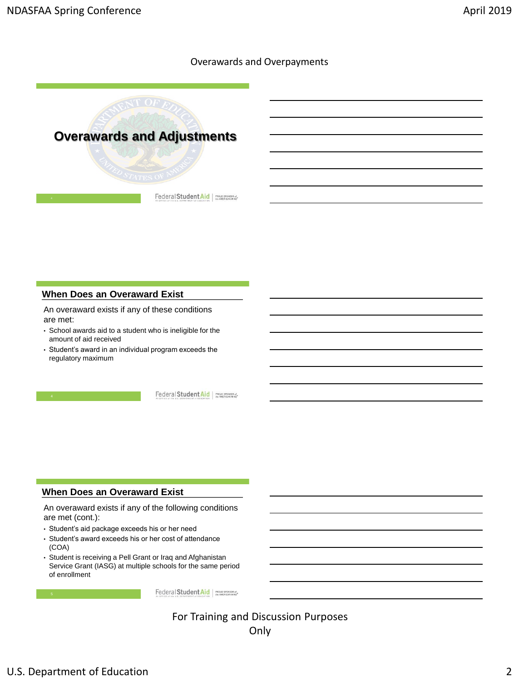

## **When Does an Overaward Exist**

An overaward exists if any of these conditions are met:

- School awards aid to a student who is ineligible for the amount of aid received
- Student's award in an individual program exceeds the regulatory maximum

Federal Student Aid | PROUD SPONSOR of

## **When Does an Overaward Exist**

An overaward exists if any of the following conditions are met (cont.):

- Student's aid package exceeds his or her need
- Student's award exceeds his or her cost of attendance (COA)
- Student is receiving a Pell Grant or Iraq and Afghanistan Service Grant (IASG) at multiple schools for the same period of enrollment

Federal Student Aid PROUD SPONSOR of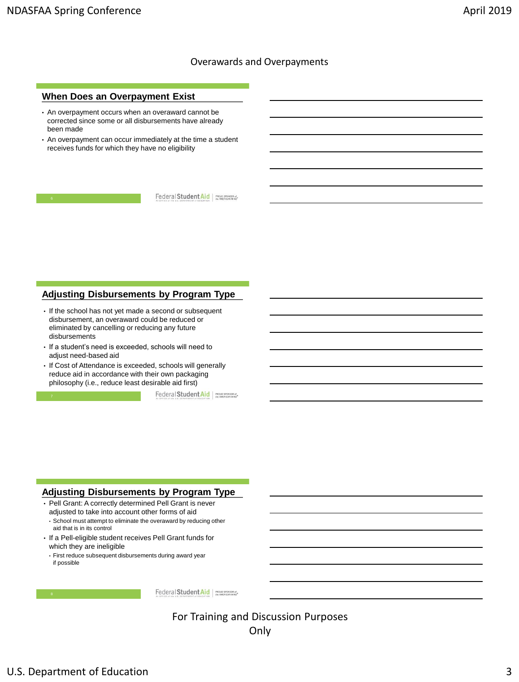### **When Does an Overpayment Exist**

- An overpayment occurs when an overaward cannot be corrected since some or all disbursements have already been made
- An overpayment can occur immediately at the time a student receives funds for which they have no eligibility

Federal Student Aid FROUD SPONSOR of

### **Adjusting Disbursements by Program Type**

- If the school has not yet made a second or subsequent disbursement, an overaward could be reduced or eliminated by cancelling or reducing any future disbursements
- If a student's need is exceeded, schools will need to adjust need-based aid
- If Cost of Attendance is exceeded, schools will generally reduce aid in accordance with their own packaging philosophy (i.e., reduce least desirable aid first)

Federal Student Aid | PROUD SPONSOR of

## **Adjusting Disbursements by Program Type**

- Pell Grant: A correctly determined Pell Grant is never adjusted to take into account other forms of aid
	- School must attempt to eliminate the overaward by reducing other aid that is in its control
- If a Pell-eligible student receives Pell Grant funds for which they are ineligible
	- First reduce subsequent disbursements during award year if possible

Federal Student Aid | PROUD SPONSOR of

For Training and Discussion Purposes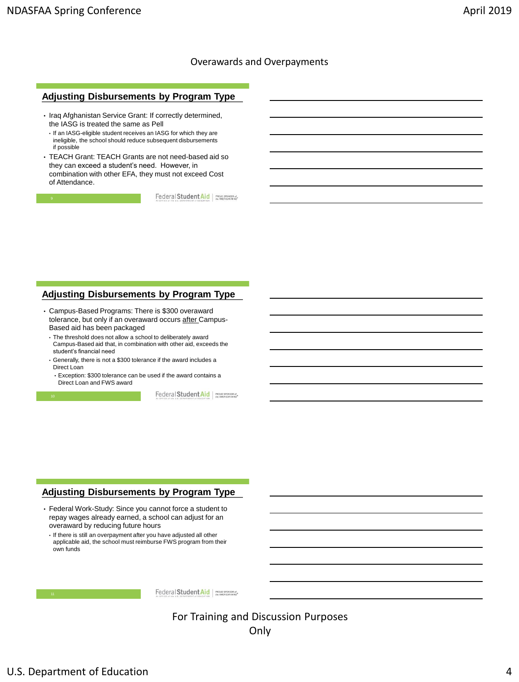#### **Adjusting Disbursements by Program Type**

- Iraq Afghanistan Service Grant: If correctly determined, the IASG is treated the same as Pell
	- If an IASG-eligible student receives an IASG for which they are ineligible, the school should reduce subsequent disbursements if possible
- TEACH Grant: TEACH Grants are not need-based aid so they can exceed a student's need. However, in combination with other EFA, they must not exceed Cost of Attendance.

Federal Student Aid FROUD SPONSOR of

#### **Adjusting Disbursements by Program Type**

- Campus-Based Programs: There is \$300 overaward tolerance, but only if an overaward occurs after Campus-Based aid has been packaged
- The threshold does not allow a school to deliberately award Campus-Based aid that, in combination with other aid, exceeds the student's financial need
- Generally, there is not a \$300 tolerance if the award includes a Direct Loan
- Exception: \$300 tolerance can be used if the award contains a Direct Loan and FWS award

Federal Student Aid | PROUD SPONSOR of

## **Adjusting Disbursements by Program Type**

- Federal Work-Study: Since you cannot force a student to repay wages already earned, a school can adjust for an overaward by reducing future hours
	- If there is still an overpayment after you have adjusted all other applicable aid, the school must reimburse FWS program from their own funds

Federal Student Aid | PROUD SPONSOR of

For Training and Discussion Purposes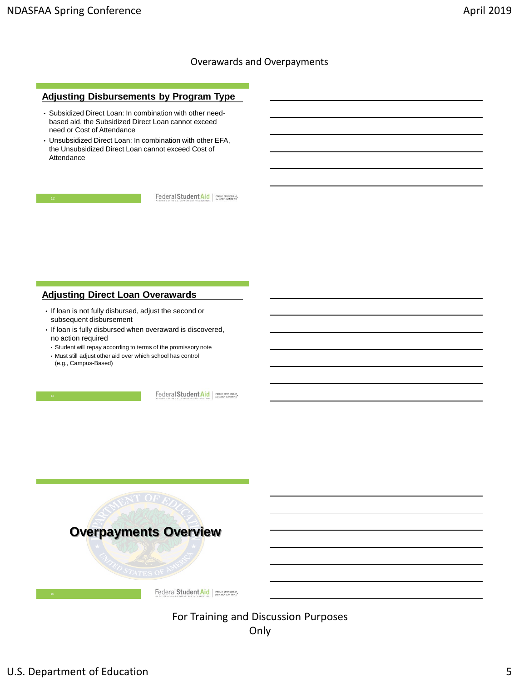## **Adjusting Disbursements by Program Type**

- Subsidized Direct Loan: In combination with other needbased aid, the Subsidized Direct Loan cannot exceed need or Cost of Attendance
- Unsubsidized Direct Loan: In combination with other EFA, the Unsubsidized Direct Loan cannot exceed Cost of Attendance

Federal Student Aid

## **Adjusting Direct Loan Overawards**

- If loan is not fully disbursed, adjust the second or subsequent disbursement
- If loan is fully disbursed when overaward is discovered, no action required
- Student will repay according to terms of the promissory note
- Must still adjust other aid over which school has control (e.g., Campus-Based)

Federal Student Aid | PROUD SPONSOR of

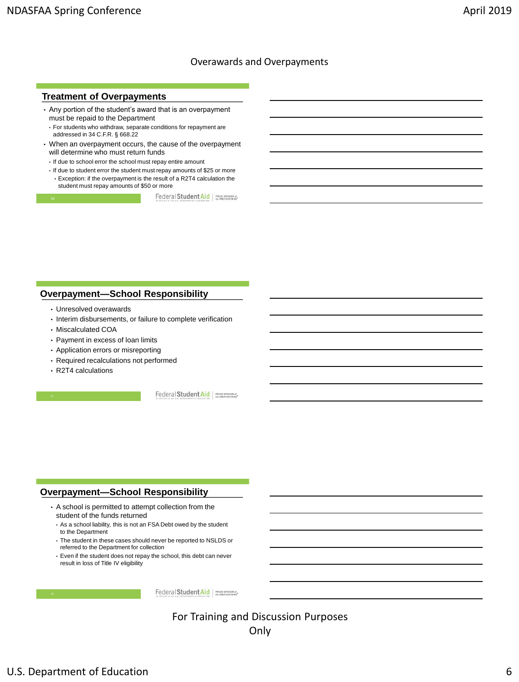#### **Treatment of Overpayments**

- Any portion of the student's award that is an overpayment must be repaid to the Department
	- For students who withdraw, separate conditions for repayment are addressed in 34 C.F.R. § 668.22
- When an overpayment occurs, the cause of the overpayment will determine who must return funds
- If due to school error the school must repay entire amount
- If due to student error the student must repay amounts of \$25 or more • Exception: if the overpayment is the result of a R2T4 calculation the student must repay amounts of \$50 or more

Federal Student Aid | PROUD SPONSOR of

### **Overpayment—School Responsibility**

- Unresolved overawards
- Interim disbursements, or failure to complete verification
- Miscalculated COA
- Payment in excess of loan limits
- Application errors or misreporting
- Required recalculations not performed
- R2T4 calculations

Federal Student Aid | PROUD SPONSOR of

## **Overpayment—School Responsibility**

- A school is permitted to attempt collection from the student of the funds returned
	- As a school liability, this is not an FSA Debt owed by the student to the Department
	- The student in these cases should never be reported to NSLDS or referred to the Department for collection
	- Even if the student does not repay the school, this debt can never result in loss of Title IV eligibility

Federal Student Aid | PROUD SPONSOR of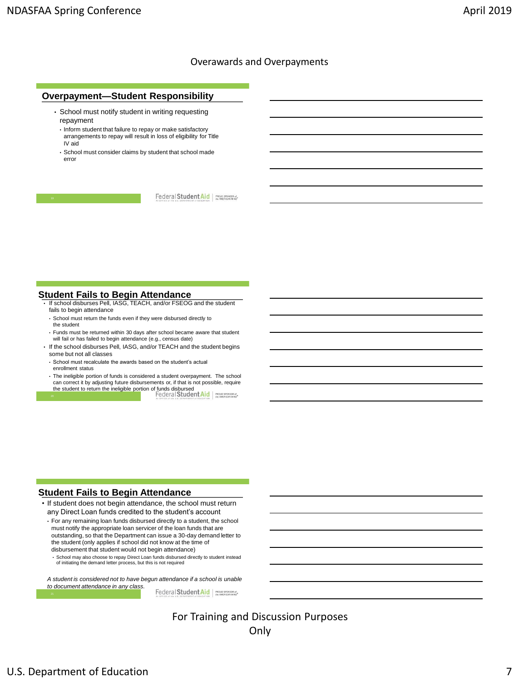#### **Overpayment—Student Responsibility**

- School must notify student in writing requesting repayment
	- Inform student that failure to repay or make satisfactory arrangements to repay will result in loss of eligibility for Title IV aid
	- School must consider claims by student that school made error

Federal Student Aid | PROUD SPONSOR of

#### **Student Fails to Begin Attendance**

- If school disburses Pell, IASG, TEACH, and/or FSEOG and the student fails to begin attendance
	- School must return the funds even if they were disbursed directly to the student
- Funds must be returned within 30 days after school became aware that student will fail or has failed to begin attendance (e.g., census date)
- If the school disburses Pell, IASG, and/or TEACH and the student begins some but not all classes
- School must recalculate the awards based on the student's actual enrollment status
- The ineligible portion of funds is considered a student overpayment. The school can correct it by adjusting future disbursements or, if that is not possible, require the student to return the ineligible portion of funds disbursed 20

#### **Student Fails to Begin Attendance**

• If student does not begin attendance, the school must return any Direct Loan funds credited to the student's account

• For any remaining loan funds disbursed directly to a student, the school must notify the appropriate loan servicer of the loan funds that are outstanding, so that the Department can issue a 30-day demand letter to the student (only applies if school did not know at the time of disbursement that student would not begin attendance)

• School may also choose to repay Direct Loan funds disbursed directly to student instead of initiating the demand letter process, but this is not required

*A student is considered not to have begun attendance if a school is unable to document attendance in any class.*

Federal Student Aid | PROUD SPONSOR of

For Training and Discussion Purposes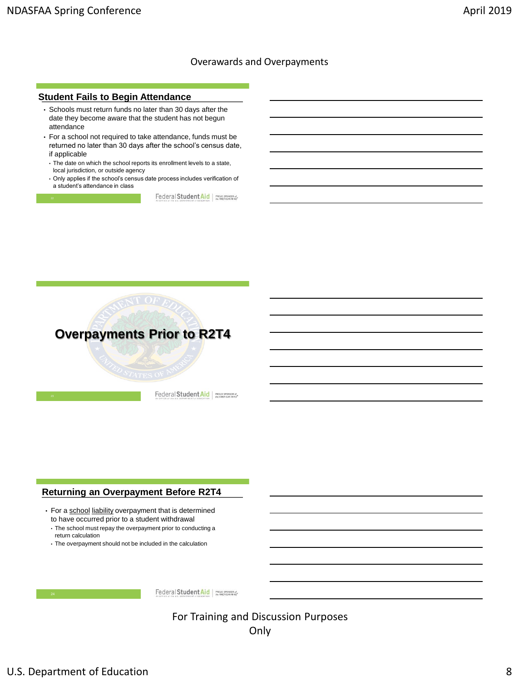#### **Student Fails to Begin Attendance**

- Schools must return funds no later than 30 days after the date they become aware that the student has not begun attendance
- For a school not required to take attendance, funds must be returned no later than 30 days after the school's census date, if applicable
	- The date on which the school reports its enrollment levels to a state, local jurisdiction, or outside agency
	- Only applies if the school's census date process includes verification of a student's attendance in class

Federal Student Aid FROUD SPONSOR of



Federal Student Aid | PROUD SPONSOR of

## **Returning an Overpayment Before R2T4**

- For a school liability overpayment that is determined to have occurred prior to a student withdrawal
- The school must repay the overpayment prior to conducting a return calculation
- The overpayment should not be included in the calculation



Federal Student Aid PROUD SPONSOR of

For Training and Discussion Purposes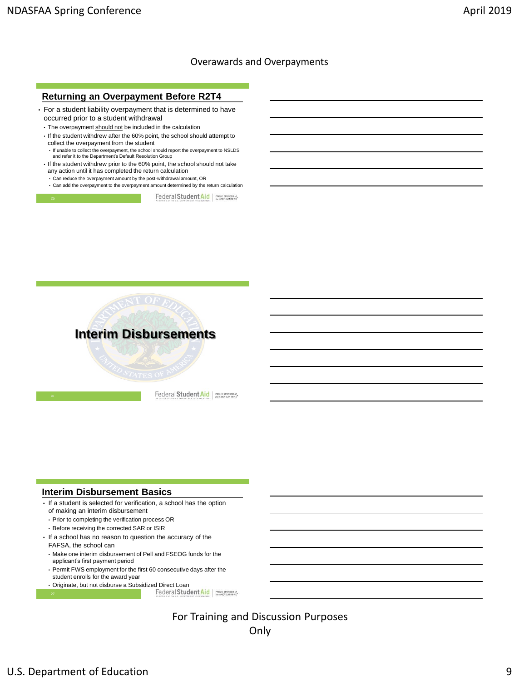## **Returning an Overpayment Before R2T4**

- For a student liability overpayment that is determined to have occurred prior to a student withdrawal
	- The overpayment should not be included in the calculation
	- If the student withdrew after the 60% point, the school should attempt to collect the overpayment from the student
	- If unable to collect the overpayment, the school should report the overpayment to NSLDS and refer it to the Department's Default Resolution Group • If the student withdrew prior to the 60% point, the school should not take
	- any action until it has completed the return calculation
	- Can reduce the overpayment amount by the post-withdrawal amount, OR
	- Can add the overpayment to the overpayment amount determined by the return calculation



Federal Student Aid | PROUD SPONSOR of



Federal Student Aid | PROUD SPONSOR of

#### **Interim Disbursement Basics**

- If a student is selected for verification, a school has the option of making an interim disbursement
	- Prior to completing the verification process OR
	- Before receiving the corrected SAR or ISIR
- If a school has no reason to question the accuracy of the FAFSA, the school can
	- Make one interim disbursement of Pell and FSEOG funds for the applicant's first payment period
	- Permit FWS employment for the first 60 consecutive days after the student enrolls for the award year
	- Originate, but not disburse a Subsidized Direct Loan<br>27<br>
	Pederal Student Aid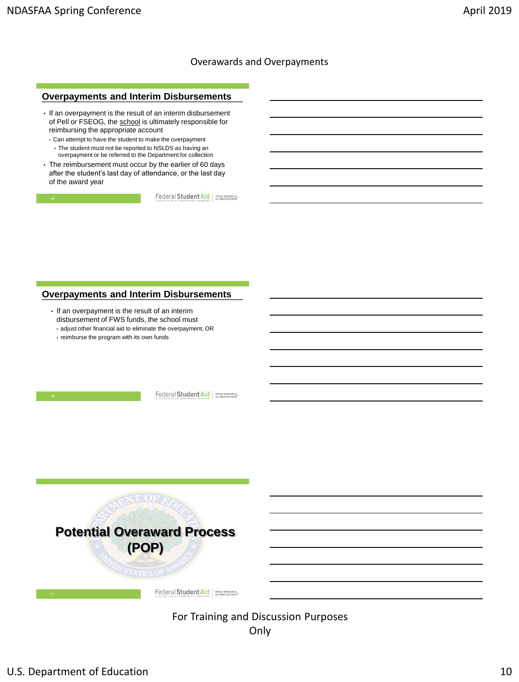## **Overpayments and Interim Disbursements**

- If an overpayment is the result of an interim disbursement of Pell or FSEOG, the school is ultimately responsible for reimbursing the appropriate account
	- Can attempt to have the student to make the overpayment • The student must not be reported to NSLDS as having an overpayment or be referred to the Department for collection
- The reimbursement must occur by the earlier of 60 days after the student's last day of attendance, or the last day of the award year

Federal Student Aid FROUD SPONSOR of

#### **Overpayments and Interim Disbursements**

- If an overpayment is the result of an interim disbursement of FWS funds, the school must
- adjust other financial aid to eliminate the overpayment, OR
- reimburse the program with its own funds

Federal Student Aid PROUD SPONSOR of

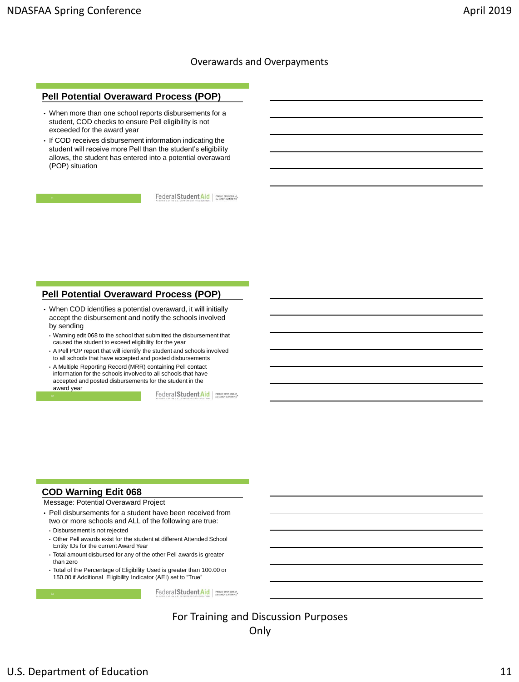#### **Pell Potential Overaward Process (POP)**

- When more than one school reports disbursements for a student, COD checks to ensure Pell eligibility is not exceeded for the award year
- If COD receives disbursement information indicating the student will receive more Pell than the student's eligibility allows, the student has entered into a potential overaward (POP) situation

Federal Student Aid | PROUD SPONSOR of

## **Pell Potential Overaward Process (POP)**

- When COD identifies a potential overaward, it will initially accept the disbursement and notify the schools involved by sending
- Warning edit 068 to the school that submitted the disbursement that caused the student to exceed eligibility for the year
- A Pell POP report that will identify the student and schools involved to all schools that have accepted and posted disbursements
- A Multiple Reporting Record (MRR) containing Pell contact information for the schools involved to all schools that have accepted and posted disbursements for the student in the award year

Federal Student Aid | PROUD SPONSOR of

## **COD Warning Edit 068**

Message: Potential Overaward Project

- Pell disbursements for a student have been received from two or more schools and ALL of the following are true:
- Disbursement is not rejected
- Other Pell awards exist for the student at different Attended School Entity IDs for the current Award Year
- Total amount disbursed for any of the other Pell awards is greater than zero
- Total of the Percentage of Eligibility Used is greater than 100.00 or 150.00 if Additional Eligibility Indicator (AEI) set to "True"

Federal Student Aid | PROUD SPONSOR of

For Training and Discussion Purposes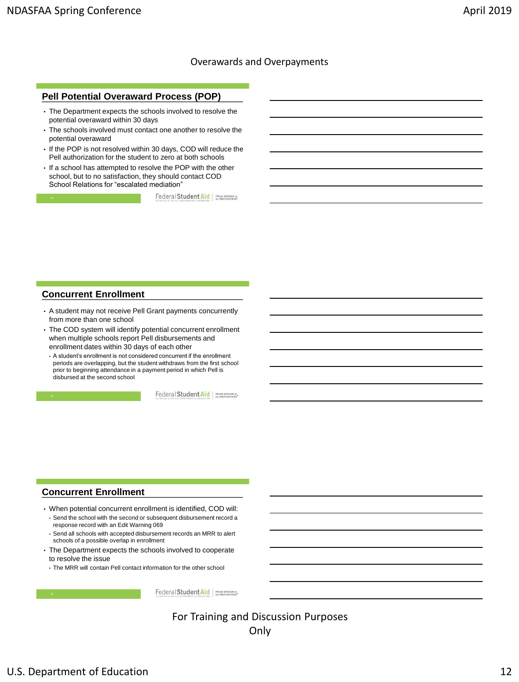### **Pell Potential Overaward Process (POP)**

- The Department expects the schools involved to resolve the potential overaward within 30 days
- The schools involved must contact one another to resolve the potential overaward
- If the POP is not resolved within 30 days, COD will reduce the Pell authorization for the student to zero at both schools
- If a school has attempted to resolve the POP with the other school, but to no satisfaction, they should contact COD School Relations for "escalated mediation"

Federal Student Aid | PROUD SPONSOR of

### **Concurrent Enrollment**

- A student may not receive Pell Grant payments concurrently from more than one school
- The COD system will identify potential concurrent enrollment when multiple schools report Pell disbursements and enrollment dates within 30 days of each other
- A student's enrollment is not considered concurrent if the enrollment periods are overlapping, but the student withdraws from the first school prior to beginning attendance in a payment period in which Pell is disbursed at the second school

Federal Student Aid | PROUD SPONSOR of

## **Concurrent Enrollment**

- When potential concurrent enrollment is identified, COD will: • Send the school with the second or subsequent disbursement record a
	- response record with an Edit Warning 069 • Send all schools with accepted disbursement records an MRR to alert schools of a possible overlap in enrollment
- The Department expects the schools involved to cooperate to resolve the issue

• The MRR will contain Pell contact information for the other school

Federal Student Aid | PROUD SPONSOR of

For Training and Discussion Purposes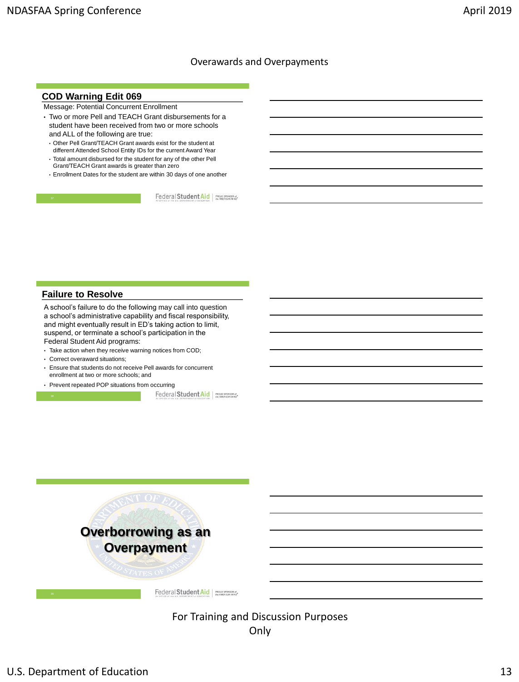### **COD Warning Edit 069**

Message: Potential Concurrent Enrollment

- Two or more Pell and TEACH Grant disbursements for a student have been received from two or more schools and ALL of the following are true:
	- Other Pell Grant/TEACH Grant awards exist for the student at different Attended School Entity IDs for the current Award Year
	- Total amount disbursed for the student for any of the other Pell Grant/TEACH Grant awards is greater than zero
	- Enrollment Dates for the student are within 30 days of one another

Federal Student Aid | PROUD SPONSOR of

### **Failure to Resolve**

A school's failure to do the following may call into question a school's administrative capability and fiscal responsibility, and might eventually result in ED's taking action to limit, suspend, or terminate a school's participation in the Federal Student Aid programs:

- Take action when they receive warning notices from COD;
- Correct overaward situations;
- Ensure that students do not receive Pell awards for concurrent enrollment at two or more schools; and
- Prevent repeated POP situations from occurring

Federal Student Aid



# For Training and Discussion Purposes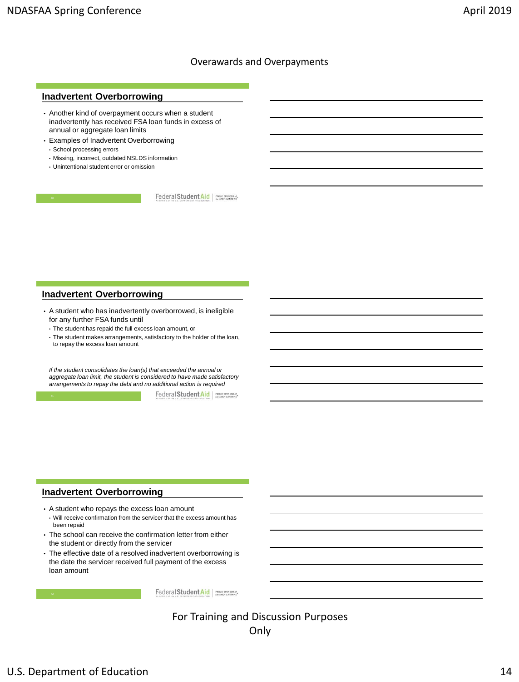#### **Inadvertent Overborrowing**

- Another kind of overpayment occurs when a student inadvertently has received FSA loan funds in excess of annual or aggregate loan limits
- Examples of Inadvertent Overborrowing
	- School processing errors
	- Missing, incorrect, outdated NSLDS information
	- Unintentional student error or omission

Federal Student Aid | PROUD SPONSOR of

#### **Inadvertent Overborrowing**

- A student who has inadvertently overborrowed, is ineligible for any further FSA funds until
	- The student has repaid the full excess loan amount, or
	- The student makes arrangements, satisfactory to the holder of the loan, to repay the excess loan amount

*If the student consolidates the loan(s) that exceeded the annual or aggregate loan limit, the student is considered to have made satisfactory arrangements to repay the debt and no additional action is required* 

Federal Student Aid | PROUD SPONSOR of

## **Inadvertent Overborrowing**

- A student who repays the excess loan amount • Will receive confirmation from the servicer that the excess amount has been repaid
- The school can receive the confirmation letter from either the student or directly from the servicer
- The effective date of a resolved inadvertent overborrowing is the date the servicer received full payment of the excess loan amount

Federal Student Aid | PROUD SPONSOR of

For Training and Discussion Purposes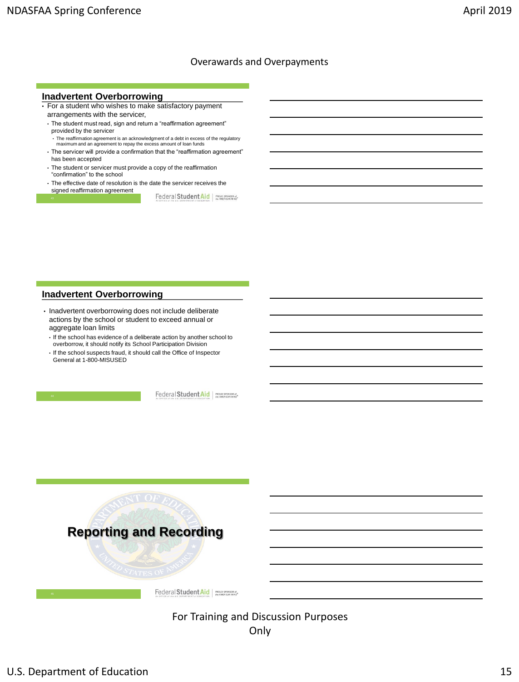#### **Inadvertent Overborrowing**

- For a student who wishes to make satisfactory payment arrangements with the servicer,
	- The student must read, sign and return a "reaffirmation agreement" provided by the servicer
	- The reaffirmation agreement is an acknowledgment of a debt in excess of the regulatory maximum and an agreement to repay the excess amount of loan funds
	- The servicer will provide a confirmation that the "reaffirmation agreement" has been accepted
	- The student or servicer must provide a copy of the reaffirmation "confirmation" to the school
	- The effective date of resolution is the date the servicer receives the signed reaffirmation agreement

Federal Student Aid | PROUD SPONSOR of

### **Inadvertent Overborrowing**

- Inadvertent overborrowing does not include deliberate actions by the school or student to exceed annual or aggregate loan limits
	- If the school has evidence of a deliberate action by another school to overborrow, it should notify its School Participation Division
	- If the school suspects fraud, it should call the Office of Inspector General at 1-800-MISUSED

Federal Student Aid | PROUD SPONSOR of

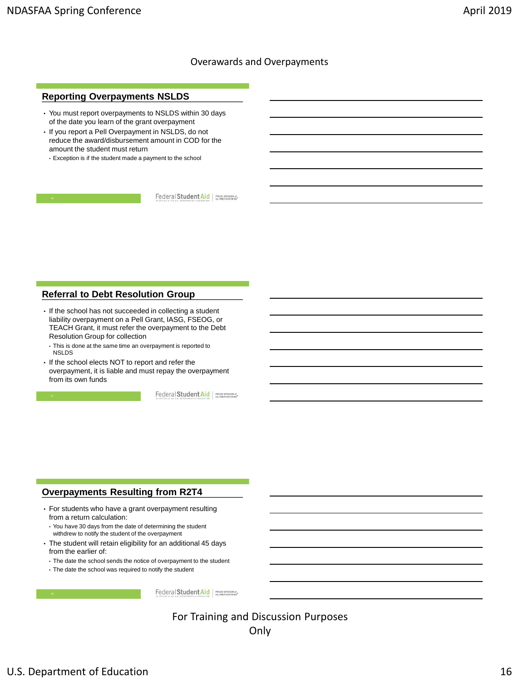### **Reporting Overpayments NSLDS**

- You must report overpayments to NSLDS within 30 days of the date you learn of the grant overpayment
- If you report a Pell Overpayment in NSLDS, do not reduce the award/disbursement amount in COD for the amount the student must return
	- Exception is if the student made a payment to the school

Federal Student Aid | PROUD SPONSOR of

#### **Referral to Debt Resolution Group**

- If the school has not succeeded in collecting a student liability overpayment on a Pell Grant, IASG, FSEOG, or TEACH Grant, it must refer the overpayment to the Debt Resolution Group for collection
	- This is done at the same time an overpayment is reported to NSLDS
- If the school elects NOT to report and refer the overpayment, it is liable and must repay the overpayment from its own funds

Federal Student Aid | PROUD SPONSOR of

## **Overpayments Resulting from R2T4**

- For students who have a grant overpayment resulting from a return calculation:
- You have 30 days from the date of determining the student withdrew to notify the student of the overpayment
- The student will retain eligibility for an additional 45 days from the earlier of:
- The date the school sends the notice of overpayment to the student
- The date the school was required to notify the student

Federal Student Aid | PROUD SPONSOR of

For Training and Discussion Purposes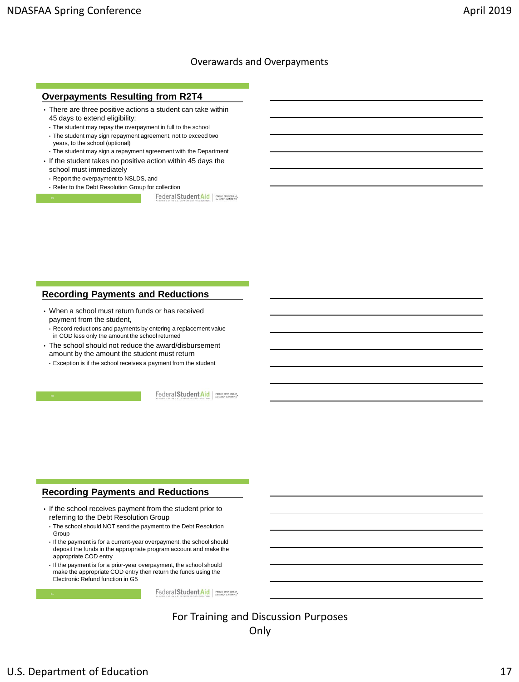### **Overpayments Resulting from R2T4**

- There are three positive actions a student can take within 45 days to extend eligibility:
	- The student may repay the overpayment in full to the school
	- The student may sign repayment agreement, not to exceed two
	- years, to the school (optional)
	- The student may sign a repayment agreement with the Department
- If the student takes no positive action within 45 days the school must immediately
	- Report the overpayment to NSLDS, and
- Refer to the Debt Resolution Group for collection

Federal Student Aid | PROUD SPONSOR of

## **Recording Payments and Reductions**

• When a school must return funds or has received payment from the student,

• Record reductions and payments by entering a replacement value in COD less only the amount the school returned

- The school should not reduce the award/disbursement amount by the amount the student must return
	- Exception is if the school receives a payment from the student

Federal Student Aid | PROUD SPONSOR of

## **Recording Payments and Reductions**

- If the school receives payment from the student prior to referring to the Debt Resolution Group
	- The school should NOT send the payment to the Debt Resolution Group
	- If the payment is for a current-year overpayment, the school should deposit the funds in the appropriate program account and make the appropriate COD entry
	- If the payment is for a prior-year overpayment, the school should make the appropriate COD entry then return the funds using the Electronic Refund function in G5

Federal Student Aid | PROUD SPONSOR of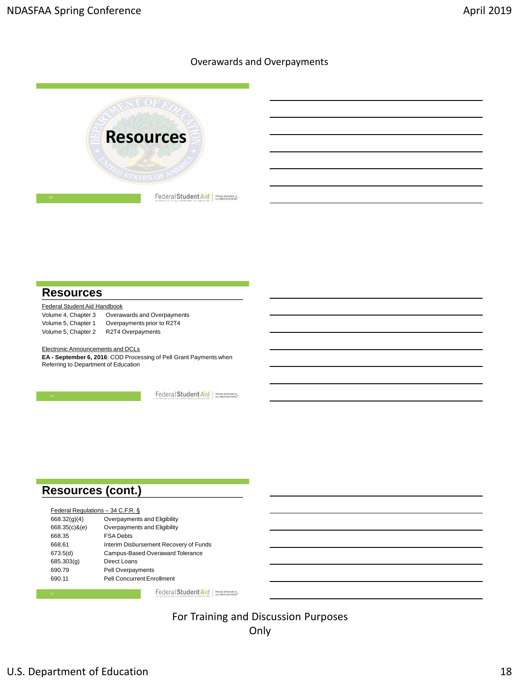

# **Resources**

| Federal Student Aid Handbook |                             |
|------------------------------|-----------------------------|
| Volume 4, Chapter 3          | Overawards and Overpayments |
| Volume 5, Chapter 1          | Overpayments prior to R2T4  |
| Volume 5, Chapter 2          | R2T4 Overpayments           |

Electronic Announcements and DCLs **EA - September 6, 2016**: COD Processing of Pell Grant Payments when Referring to Department of Education

Federal Student Aid | PROUD SPONSOR of

# **Resources (cont.)**

| Federal Regulations - 34 C.F.R. § |                                        |
|-----------------------------------|----------------------------------------|
| 668.32(q)(4)                      | Overpayments and Eligibility           |
| 668.35(c)&(e)                     | Overpayments and Eligibility           |
| 668.35                            | <b>FSA Debts</b>                       |
| 668.61                            | Interim Disbursement Recovery of Funds |
| 673.5(d)                          | Campus-Based Overaward Tolerance       |
| 685.303(g)                        | Direct Loans                           |
| 690.79                            | <b>Pell Overpayments</b>               |
| 690.11                            | <b>Pell Concurrent Enrollment</b>      |

Federal Student Aid PROUD SPONSOR of

For Training and Discussion Purposes